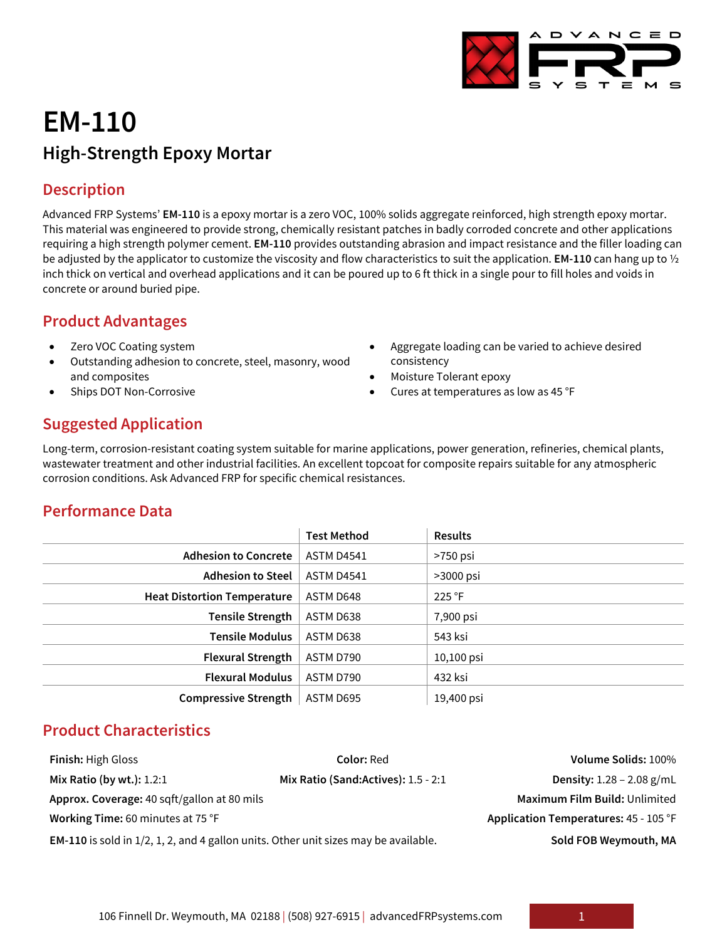

# **EM-110 High-Strength Epoxy Mortar**

### **Description**

Advanced FRP Systems' **EM-110** is a epoxy mortar is a zero VOC, 100% solids aggregate reinforced, high strength epoxy mortar. This material was engineered to provide strong, chemically resistant patches in badly corroded concrete and other applications requiring a high strength polymer cement. **EM-110** provides outstanding abrasion and impact resistance and the filler loading can be adjusted by the applicator to customize the viscosity and flow characteristics to suit the application. **EM-110** can hang up to ½ inch thick on vertical and overhead applications and it can be poured up to 6 ft thick in a single pour to fill holes and voids in concrete or around buried pipe.

### **Product Advantages**

- Zero VOC Coating system
- Outstanding adhesion to concrete, steel, masonry, wood and composites
- Ships DOT Non-Corrosive
- Aggregate loading can be varied to achieve desired consistency
- Moisture Tolerant epoxy
- Cures at temperatures as low as 45 °F

# **Suggested Application**

Long-term, corrosion-resistant coating system suitable for marine applications, power generation, refineries, chemical plants, wastewater treatment and other industrial facilities. An excellent topcoat for composite repairs suitable for any atmospheric corrosion conditions. Ask Advanced FRP for specific chemical resistances.

# **Performance Data**

|                                    | <b>Test Method</b> | <b>Results</b> |
|------------------------------------|--------------------|----------------|
| <b>Adhesion to Concrete</b>        | ASTM D4541         | >750 psi       |
| <b>Adhesion to Steel</b>           | ASTM D4541         | $>3000$ psi    |
| <b>Heat Distortion Temperature</b> | ASTM D648          | 225 °F         |
| <b>Tensile Strength</b>            | ASTM D638          | 7,900 psi      |
| <b>Tensile Modulus</b>             | ASTM D638          | 543 ksi        |
| <b>Flexural Strength</b>           | ASTM D790          | $10,100$ psi   |
| <b>Flexural Modulus</b>            | ASTM D790          | 432 ksi        |
| <b>Compressive Strength</b>        | ASTM D695          | 19,400 psi     |

# **Product Characteristics**

| <b>Finish: High Gloss</b>                                                                  | <b>Color:</b> Red                   | Volume Solids: 100%                   |
|--------------------------------------------------------------------------------------------|-------------------------------------|---------------------------------------|
| Mix Ratio (by wt.): $1.2:1$                                                                | Mix Ratio (Sand:Actives): 1.5 - 2:1 | <b>Density:</b> $1.28 - 2.08$ g/mL    |
| Approx. Coverage: 40 sqft/gallon at 80 mils                                                |                                     | Maximum Film Build: Unlimited         |
| Working Time: 60 minutes at 75 °F                                                          |                                     | Application Temperatures: 45 - 105 °F |
| <b>EM-110</b> is sold in 1/2, 1, 2, and 4 gallon units. Other unit sizes may be available. |                                     | Sold FOB Weymouth, MA                 |

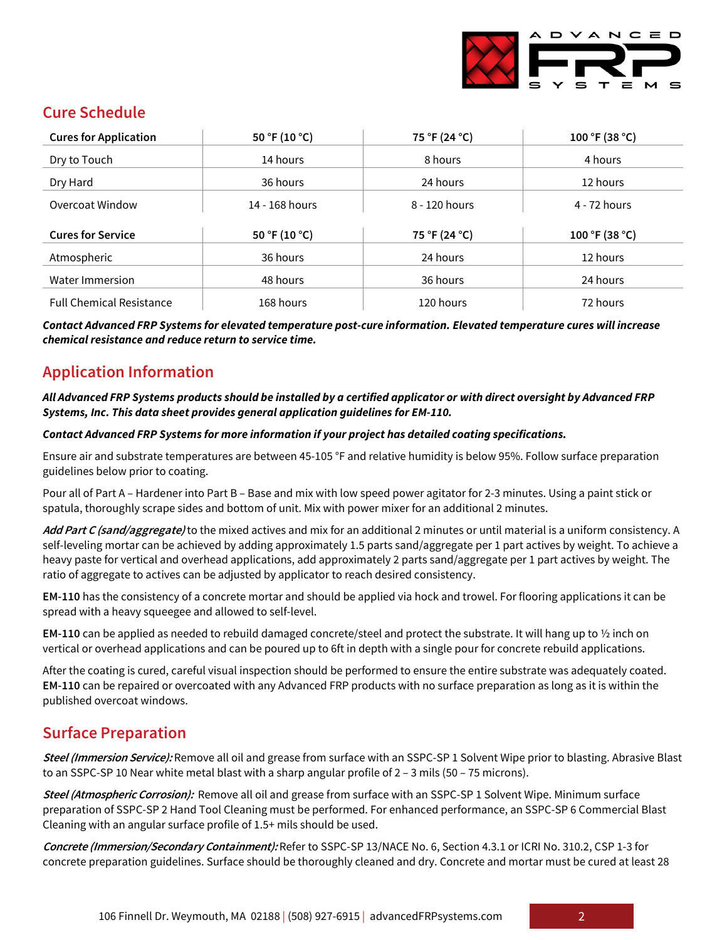

# **Cure Schedule**

| <b>Cures for Application</b>    | 50 °F (10 °C)  | 75 °F (24 °C) | 100 °F (38 °C) |
|---------------------------------|----------------|---------------|----------------|
| Dry to Touch                    | 14 hours       | 8 hours       | 4 hours        |
| Dry Hard                        | 36 hours       | 24 hours      | 12 hours       |
| Overcoat Window                 | 14 - 168 hours | 8 - 120 hours | 4 - 72 hours   |
| <b>Cures for Service</b>        | 50 °F (10 °C)  | 75 °F (24 °C) | 100 °F (38 °C) |
| Atmospheric                     | 36 hours       | 24 hours      | 12 hours       |
|                                 |                |               |                |
| Water Immersion                 | 48 hours       | 36 hours      | 24 hours       |
| <b>Full Chemical Resistance</b> | 168 hours      | 120 hours     | 72 hours       |

*Contact Advanced FRP Systems for elevated temperature post-cure information. Elevated temperature cures will increase chemical resistance and reduce return to service time.*

# **Application Information**

*All Advanced FRP Systems products should be installed by a certified applicator or with direct oversight by Advanced FRP Systems, Inc. This data sheet provides general application guidelines for EM-110.*

#### *Contact Advanced FRP Systems for more information if your project has detailed coating specifications.*

Ensure air and substrate temperatures are between 45-105 °F and relative humidity is below 95%. Follow surface preparation guidelines below prior to coating.

Pour all of Part A – Hardener into Part B – Base and mix with low speed power agitator for 2-3 minutes. Using a paint stick or spatula, thoroughly scrape sides and bottom of unit. Mix with power mixer for an additional 2 minutes.

**Add Part C (sand/aggregate)** to the mixed actives and mix for an additional 2 minutes or until material is a uniform consistency. A self-leveling mortar can be achieved by adding approximately 1.5 parts sand/aggregate per 1 part actives by weight. To achieve a heavy paste for vertical and overhead applications, add approximately 2 parts sand/aggregate per 1 part actives by weight. The ratio of aggregate to actives can be adjusted by applicator to reach desired consistency.

**EM-110** has the consistency of a concrete mortar and should be applied via hock and trowel. For flooring applications it can be spread with a heavy squeegee and allowed to self-level.

**EM-110** can be applied as needed to rebuild damaged concrete/steel and protect the substrate. It will hang up to ½ inch on vertical or overhead applications and can be poured up to 6ft in depth with a single pour for concrete rebuild applications.

After the coating is cured, careful visual inspection should be performed to ensure the entire substrate was adequately coated. **EM-110** can be repaired or overcoated with any Advanced FRP products with no surface preparation as long as it is within the published overcoat windows.

# **Surface Preparation**

**Steel (Immersion Service):** Remove all oil and grease from surface with an SSPC-SP 1 Solvent Wipe prior to blasting. Abrasive Blast to an SSPC-SP 10 Near white metal blast with a sharp angular profile of 2 – 3 mils (50 – 75 microns).

**Steel (Atmospheric Corrosion):** Remove all oil and grease from surface with an SSPC-SP 1 Solvent Wipe. Minimum surface preparation of SSPC-SP 2 Hand Tool Cleaning must be performed. For enhanced performance, an SSPC-SP 6 Commercial Blast Cleaning with an angular surface profile of 1.5+ mils should be used.

**Concrete (Immersion/Secondary Containment):** Refer to SSPC-SP 13/NACE No. 6, Section 4.3.1 or ICRI No. 310.2, CSP 1-3 for concrete preparation guidelines. Surface should be thoroughly cleaned and dry. Concrete and mortar must be cured at least 28